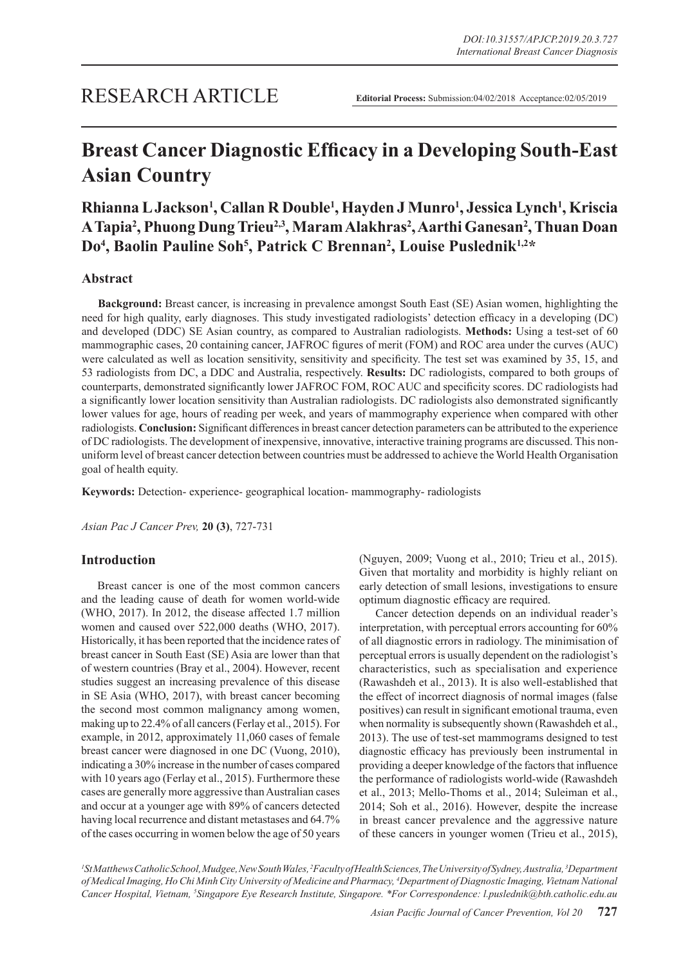# **Breast Cancer Diagnostic Efficacy in a Developing South-East Asian Country**

## **Rhianna L Jackson1 , Callan R Double1 , Hayden J Munro1 , Jessica Lynch1 , Kriscia**  A Tapia<sup>2</sup>, Phuong Dung Trieu<sup>2,3</sup>, Maram Alakhras<sup>2</sup>, Aarthi Ganesan<sup>2</sup>, Thuan Doan Do<sup>4</sup>, Baolin Pauline Soh<sup>5</sup>, Patrick C Brennan<sup>2</sup>, Louise Puslednik<sup>1,2\*</sup>

## **Abstract**

**Background:** Breast cancer, is increasing in prevalence amongst South East (SE) Asian women, highlighting the need for high quality, early diagnoses. This study investigated radiologists' detection efficacy in a developing (DC) and developed (DDC) SE Asian country, as compared to Australian radiologists. **Methods:** Using a test-set of 60 mammographic cases, 20 containing cancer, JAFROC figures of merit (FOM) and ROC area under the curves (AUC) were calculated as well as location sensitivity, sensitivity and specificity. The test set was examined by 35, 15, and 53 radiologists from DC, a DDC and Australia, respectively. **Results:** DC radiologists, compared to both groups of counterparts, demonstrated significantly lower JAFROC FOM, ROC AUC and specificity scores. DC radiologists had a significantly lower location sensitivity than Australian radiologists. DC radiologists also demonstrated significantly lower values for age, hours of reading per week, and years of mammography experience when compared with other radiologists. **Conclusion:** Significant differences in breast cancer detection parameters can be attributed to the experience of DC radiologists. The development of inexpensive, innovative, interactive training programs are discussed. This nonuniform level of breast cancer detection between countries must be addressed to achieve the World Health Organisation goal of health equity.

**Keywords:** Detection- experience- geographical location- mammography- radiologists

*Asian Pac J Cancer Prev,* **20 (3)**, 727-731

## **Introduction**

Breast cancer is one of the most common cancers and the leading cause of death for women world-wide (WHO, 2017). In 2012, the disease affected 1.7 million women and caused over 522,000 deaths (WHO, 2017). Historically, it has been reported that the incidence rates of breast cancer in South East (SE) Asia are lower than that of western countries (Bray et al., 2004). However, recent studies suggest an increasing prevalence of this disease in SE Asia (WHO, 2017), with breast cancer becoming the second most common malignancy among women, making up to 22.4% of all cancers (Ferlay et al., 2015). For example, in 2012, approximately 11,060 cases of female breast cancer were diagnosed in one DC (Vuong, 2010), indicating a 30% increase in the number of cases compared with 10 years ago (Ferlay et al., 2015). Furthermore these cases are generally more aggressive than Australian cases and occur at a younger age with 89% of cancers detected having local recurrence and distant metastases and 64.7% of the cases occurring in women below the age of 50 years (Nguyen, 2009; Vuong et al., 2010; Trieu et al., 2015). Given that mortality and morbidity is highly reliant on early detection of small lesions, investigations to ensure optimum diagnostic efficacy are required.

Cancer detection depends on an individual reader's interpretation, with perceptual errors accounting for 60% of all diagnostic errors in radiology. The minimisation of perceptual errors is usually dependent on the radiologist's characteristics, such as specialisation and experience (Rawashdeh et al., 2013). It is also well-established that the effect of incorrect diagnosis of normal images (false positives) can result in significant emotional trauma, even when normality is subsequently shown (Rawashdeh et al., 2013). The use of test-set mammograms designed to test diagnostic efficacy has previously been instrumental in providing a deeper knowledge of the factors that influence the performance of radiologists world-wide (Rawashdeh et al., 2013; Mello-Thoms et al., 2014; Suleiman et al., 2014; Soh et al., 2016). However, despite the increase in breast cancer prevalence and the aggressive nature of these cancers in younger women (Trieu et al., 2015),

*1 St Matthews Catholic School, Mudgee, New South Wales, 2 Faculty of Health Sciences, The University of Sydney, Australia, 3 Department of Medical Imaging, Ho Chi Minh City University of Medicine and Pharmacy, 4 Department of Diagnostic Imaging, Vietnam National Cancer Hospital, Vietnam, 5 Singapore Eye Research Institute, Singapore. \*For Correspondence: l.puslednik@bth.catholic.edu.au*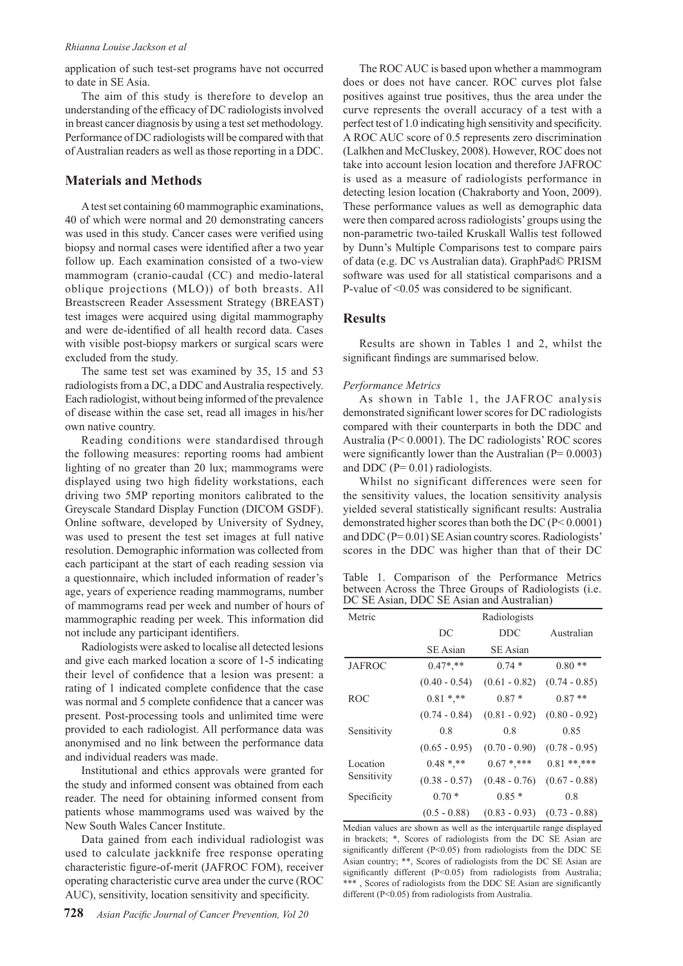#### *Rhianna Louise Jackson et al*

application of such test-set programs have not occurred to date in SE Asia.

The aim of this study is therefore to develop an understanding of the efficacy of DC radiologists involved in breast cancer diagnosis by using a test set methodology. Performance of DC radiologists will be compared with that of Australian readers as well as those reporting in a DDC.

## **Materials and Methods**

A test set containing 60 mammographic examinations, 40 of which were normal and 20 demonstrating cancers was used in this study. Cancer cases were verified using biopsy and normal cases were identified after a two year follow up. Each examination consisted of a two-view mammogram (cranio-caudal (CC) and medio-lateral oblique projections (MLO)) of both breasts. All Breastscreen Reader Assessment Strategy (BREAST) test images were acquired using digital mammography and were de-identified of all health record data. Cases with visible post-biopsy markers or surgical scars were excluded from the study.

The same test set was examined by 35, 15 and 53 radiologists from a DC, a DDC and Australia respectively. Each radiologist, without being informed of the prevalence of disease within the case set, read all images in his/her own native country.

Reading conditions were standardised through the following measures: reporting rooms had ambient lighting of no greater than 20 lux; mammograms were displayed using two high fidelity workstations, each driving two 5MP reporting monitors calibrated to the Greyscale Standard Display Function (DICOM GSDF). Online software, developed by University of Sydney, was used to present the test set images at full native resolution. Demographic information was collected from each participant at the start of each reading session via a questionnaire, which included information of reader's age, years of experience reading mammograms, number of mammograms read per week and number of hours of mammographic reading per week. This information did not include any participant identifiers.

Radiologists were asked to localise all detected lesions and give each marked location a score of 1-5 indicating their level of confidence that a lesion was present: a rating of 1 indicated complete confidence that the case was normal and 5 complete confidence that a cancer was present. Post-processing tools and unlimited time were provided to each radiologist. All performance data was anonymised and no link between the performance data and individual readers was made.

Institutional and ethics approvals were granted for the study and informed consent was obtained from each reader. The need for obtaining informed consent from patients whose mammograms used was waived by the New South Wales Cancer Institute.

Data gained from each individual radiologist was used to calculate jackknife free response operating characteristic figure-of-merit (JAFROC FOM), receiver operating characteristic curve area under the curve (ROC AUC), sensitivity, location sensitivity and specificity.

The ROC AUC is based upon whether a mammogram does or does not have cancer. ROC curves plot false positives against true positives, thus the area under the curve represents the overall accuracy of a test with a perfect test of 1.0 indicating high sensitivity and specificity. A ROC AUC score of 0.5 represents zero discrimination (Lalkhen and McCluskey, 2008). However, ROC does not take into account lesion location and therefore JAFROC is used as a measure of radiologists performance in detecting lesion location (Chakraborty and Yoon, 2009). These performance values as well as demographic data were then compared across radiologists' groups using the non-parametric two-tailed Kruskall Wallis test followed by Dunn's Multiple Comparisons test to compare pairs of data (e.g. DC vs Australian data). GraphPad© PRISM software was used for all statistical comparisons and a P-value of <0.05 was considered to be significant.

## **Results**

Results are shown in Tables 1 and 2, whilst the significant findings are summarised below.

#### *Performance Metrics*

As shown in Table 1, the JAFROC analysis demonstrated significant lower scores for DC radiologists compared with their counterparts in both the DDC and Australia (P< 0.0001). The DC radiologists' ROC scores were significantly lower than the Australian ( $P= 0.0003$ ) and DDC ( $P= 0.01$ ) radiologists.

Whilst no significant differences were seen for the sensitivity values, the location sensitivity analysis yielded several statistically significant results: Australia demonstrated higher scores than both the DC (P< 0.0001) and DDC (P= 0.01) SE Asian country scores. Radiologists' scores in the DDC was higher than that of their DC

Table 1. Comparison of the Performance Metrics between Across the Three Groups of Radiologists (i.e. DC SE Asian, DDC SE Asian and Australian)

| Metric                  | Radiologists    |                 |                 |  |  |  |
|-------------------------|-----------------|-----------------|-----------------|--|--|--|
|                         | DC              | <b>DDC</b>      | Australian      |  |  |  |
|                         | SE Asian        | <b>SE</b> Asian |                 |  |  |  |
| <b>JAFROC</b>           | $0.47$ *.**     | $0.74*$         | $0.80**$        |  |  |  |
|                         | $(0.40 - 0.54)$ | $(0.61 - 0.82)$ | $(0.74 - 0.85)$ |  |  |  |
| <b>ROC</b>              | $0.81$ *,**     | $0.87*$         | $0.87**$        |  |  |  |
|                         | $(0.74 - 0.84)$ | $(0.81 - 0.92)$ | $(0.80 - 0.92)$ |  |  |  |
| Sensitivity             | 0.8             | 0.8             | 0.85            |  |  |  |
|                         | $(0.65 - 0.95)$ | $(0.70 - 0.90)$ | $(0.78 - 0.95)$ |  |  |  |
| Location<br>Sensitivity | $0.48$ *.**     | $0.67$ *.***    | $0.81***$       |  |  |  |
|                         | $(0.38 - 0.57)$ | $(0.48 - 0.76)$ | $(0.67 - 0.88)$ |  |  |  |
| Specificity             | $0.70*$         | $0.85*$         | 0.8             |  |  |  |
|                         | $(0.5 - 0.88)$  | $(0.83 - 0.93)$ | $(0.73 - 0.88)$ |  |  |  |

Median values are shown as well as the interquartile range displayed in brackets; \*, Scores of radiologists from the DC SE Asian are significantly different (P<0.05) from radiologists from the DDC SE Asian country; \*\*, Scores of radiologists from the DC SE Asian are significantly different (P<0.05) from radiologists from Australia; \*\*\* , Scores of radiologists from the DDC SE Asian are significantly different (P<0.05) from radiologists from Australia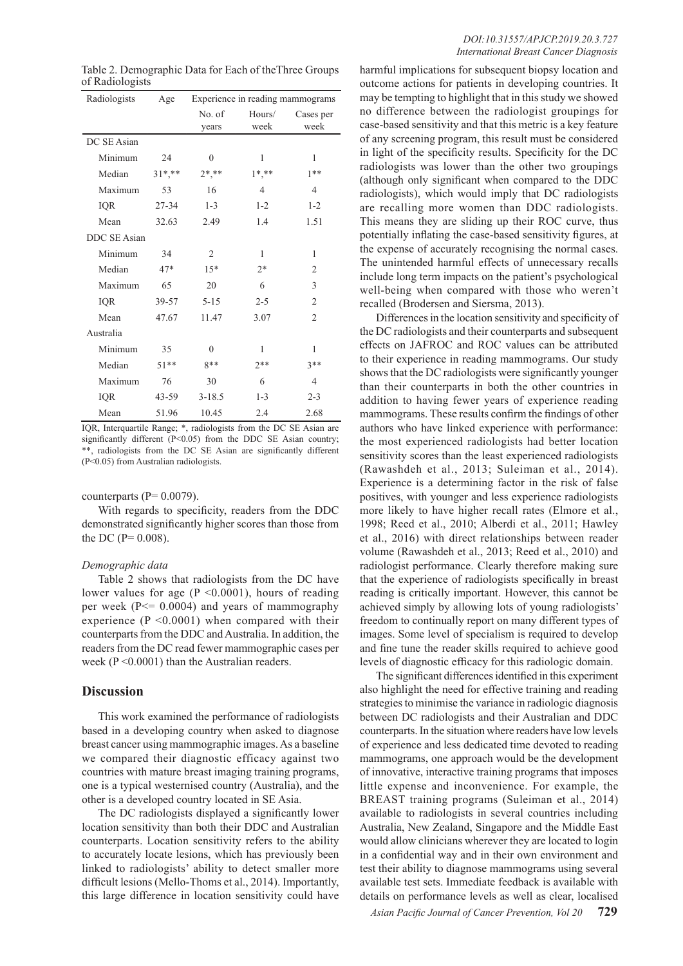| Radiologists        | Age        | Experience in reading mammograms |              |                |
|---------------------|------------|----------------------------------|--------------|----------------|
|                     |            | No. of                           | Hours/       | Cases per      |
|                     |            | years                            | week         | week           |
| DC SE Asian         |            |                                  |              |                |
| Minimum             | 24         | 0                                | 1            | 1              |
| Median              | $31^*, **$ | $2*, **$                         | $1*, **$     | $1**$          |
| Maximum             | 53         | 16                               | 4            | 4              |
| <b>IQR</b>          | 27-34      | $1 - 3$                          | $1 - 2$      | $1 - 2$        |
| Mean                | 32.63      | 2.49                             | 1.4          | 1.51           |
| <b>DDC SE Asian</b> |            |                                  |              |                |
| Minimum             | 34         | $\overline{2}$                   | $\mathbf{1}$ | 1              |
| Median              | $47*$      | $15*$                            | $2*$         | $\overline{2}$ |
| Maximum             | 65         | 20                               | 6            | 3              |
| <b>IQR</b>          | 39-57      | $5 - 15$                         | $2 - 5$      | $\overline{c}$ |
| Mean                | 47.67      | 11.47                            | 3.07         | $\overline{c}$ |
| Australia           |            |                                  |              |                |
| Minimum             | 35         | $\theta$                         | 1            | 1              |
| Median              | $51***$    | $8**$                            | $2**$        | $3**$          |
| Maximum             | 76         | 30                               | 6            | 4              |
| IQR                 | $43 - 59$  | $3 - 18.5$                       | $1 - 3$      | $2 - 3$        |
| Mean                | 51.96      | 10.45                            | 2.4          | 2.68           |

Table 2. Demographic Data for Each of theThree Groups of Radiologists

IQR, Interquartile Range; \*, radiologists from the DC SE Asian are significantly different (P<0.05) from the DDC SE Asian country; \*\*, radiologists from the DC SE Asian are significantly different (P<0.05) from Australian radiologists.

#### counterparts  $(P= 0.0079)$ .

With regards to specificity, readers from the DDC demonstrated significantly higher scores than those from the DC ( $P = 0.008$ ).

#### *Demographic data*

Table 2 shows that radiologists from the DC have lower values for age ( $P \le 0.0001$ ), hours of reading per week (P<= 0.0004) and years of mammography experience  $(P \le 0.0001)$  when compared with their counterparts from the DDC and Australia. In addition, the readers from the DC read fewer mammographic cases per week (P <0.0001) than the Australian readers.

#### **Discussion**

This work examined the performance of radiologists based in a developing country when asked to diagnose breast cancer using mammographic images. As a baseline we compared their diagnostic efficacy against two countries with mature breast imaging training programs, one is a typical westernised country (Australia), and the other is a developed country located in SE Asia.

The DC radiologists displayed a significantly lower location sensitivity than both their DDC and Australian counterparts. Location sensitivity refers to the ability to accurately locate lesions, which has previously been linked to radiologists' ability to detect smaller more difficult lesions (Mello-Thoms et al., 2014). Importantly, this large difference in location sensitivity could have harmful implications for subsequent biopsy location and outcome actions for patients in developing countries. It may be tempting to highlight that in this study we showed no difference between the radiologist groupings for case-based sensitivity and that this metric is a key feature of any screening program, this result must be considered in light of the specificity results. Specificity for the DC radiologists was lower than the other two groupings (although only significant when compared to the DDC radiologists), which would imply that DC radiologists are recalling more women than DDC radiologists. This means they are sliding up their ROC curve, thus potentially inflating the case-based sensitivity figures, at the expense of accurately recognising the normal cases. The unintended harmful effects of unnecessary recalls include long term impacts on the patient's psychological well-being when compared with those who weren't recalled (Brodersen and Siersma, 2013).

Differences in the location sensitivity and specificity of the DC radiologists and their counterparts and subsequent effects on JAFROC and ROC values can be attributed to their experience in reading mammograms. Our study shows that the DC radiologists were significantly younger than their counterparts in both the other countries in addition to having fewer years of experience reading mammograms. These results confirm the findings of other authors who have linked experience with performance: the most experienced radiologists had better location sensitivity scores than the least experienced radiologists (Rawashdeh et al., 2013; Suleiman et al., 2014). Experience is a determining factor in the risk of false positives, with younger and less experience radiologists more likely to have higher recall rates (Elmore et al., 1998; Reed et al., 2010; Alberdi et al., 2011; Hawley et al., 2016) with direct relationships between reader volume (Rawashdeh et al., 2013; Reed et al., 2010) and radiologist performance. Clearly therefore making sure that the experience of radiologists specifically in breast reading is critically important. However, this cannot be achieved simply by allowing lots of young radiologists' freedom to continually report on many different types of images. Some level of specialism is required to develop and fine tune the reader skills required to achieve good levels of diagnostic efficacy for this radiologic domain.

The significant differences identified in this experiment also highlight the need for effective training and reading strategies to minimise the variance in radiologic diagnosis between DC radiologists and their Australian and DDC counterparts. In the situation where readers have low levels of experience and less dedicated time devoted to reading mammograms, one approach would be the development of innovative, interactive training programs that imposes little expense and inconvenience. For example, the BREAST training programs (Suleiman et al., 2014) available to radiologists in several countries including Australia, New Zealand, Singapore and the Middle East would allow clinicians wherever they are located to login in a confidential way and in their own environment and test their ability to diagnose mammograms using several available test sets. Immediate feedback is available with details on performance levels as well as clear, localised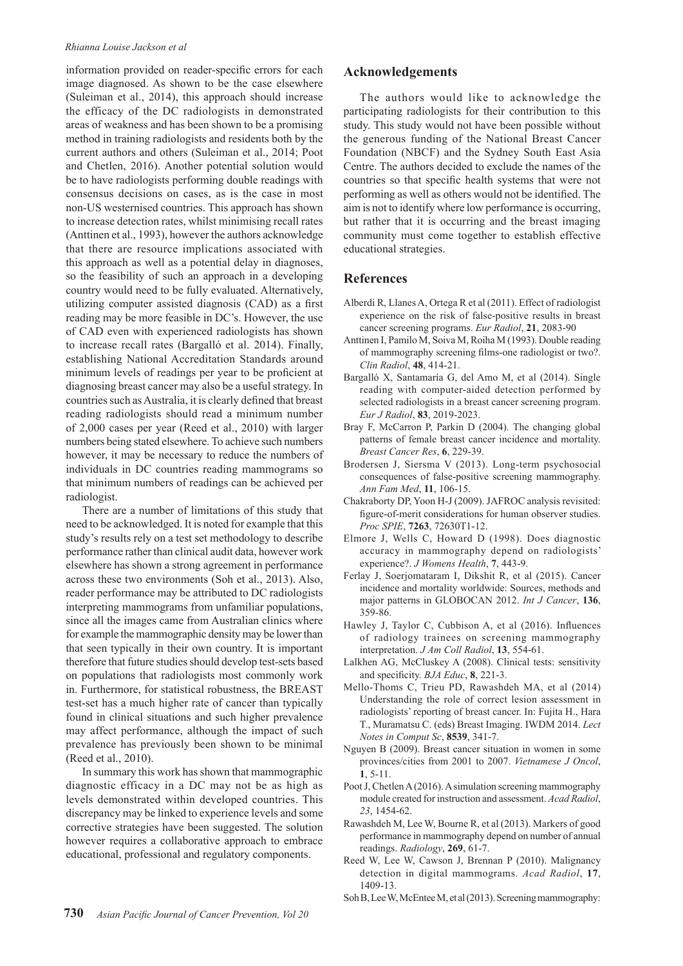#### *Rhianna Louise Jackson et al*

information provided on reader-specific errors for each image diagnosed. As shown to be the case elsewhere (Suleiman et al., 2014), this approach should increase the efficacy of the DC radiologists in demonstrated areas of weakness and has been shown to be a promising method in training radiologists and residents both by the current authors and others (Suleiman et al., 2014; Poot and Chetlen, 2016). Another potential solution would be to have radiologists performing double readings with consensus decisions on cases, as is the case in most non-US westernised countries. This approach has shown to increase detection rates, whilst minimising recall rates (Anttinen et al., 1993), however the authors acknowledge that there are resource implications associated with this approach as well as a potential delay in diagnoses, so the feasibility of such an approach in a developing country would need to be fully evaluated. Alternatively, utilizing computer assisted diagnosis (CAD) as a first reading may be more feasible in DC's. However, the use of CAD even with experienced radiologists has shown to increase recall rates (Bargalló et al. 2014). Finally, establishing National Accreditation Standards around minimum levels of readings per year to be proficient at diagnosing breast cancer may also be a useful strategy. In countries such as Australia, it is clearly defined that breast reading radiologists should read a minimum number of 2,000 cases per year (Reed et al., 2010) with larger numbers being stated elsewhere. To achieve such numbers however, it may be necessary to reduce the numbers of individuals in DC countries reading mammograms so that minimum numbers of readings can be achieved per radiologist.

There are a number of limitations of this study that need to be acknowledged. It is noted for example that this study's results rely on a test set methodology to describe performance rather than clinical audit data, however work elsewhere has shown a strong agreement in performance across these two environments (Soh et al., 2013). Also, reader performance may be attributed to DC radiologists interpreting mammograms from unfamiliar populations, since all the images came from Australian clinics where for example the mammographic density may be lower than that seen typically in their own country. It is important therefore that future studies should develop test-sets based on populations that radiologists most commonly work in. Furthermore, for statistical robustness, the BREAST test-set has a much higher rate of cancer than typically found in clinical situations and such higher prevalence may affect performance, although the impact of such prevalence has previously been shown to be minimal (Reed et al., 2010).

In summary this work has shown that mammographic diagnostic efficacy in a DC may not be as high as levels demonstrated within developed countries. This discrepancy may be linked to experience levels and some corrective strategies have been suggested. The solution however requires a collaborative approach to embrace educational, professional and regulatory components.

## **Acknowledgements**

The authors would like to acknowledge the participating radiologists for their contribution to this study. This study would not have been possible without the generous funding of the National Breast Cancer Foundation (NBCF) and the Sydney South East Asia Centre. The authors decided to exclude the names of the countries so that specific health systems that were not performing as well as others would not be identified. The aim is not to identify where low performance is occurring, but rather that it is occurring and the breast imaging community must come together to establish effective educational strategies.

## **References**

- Alberdi R, Llanes A, Ortega R et al (2011). Effect of radiologist experience on the risk of false-positive results in breast cancer screening programs. *Eur Radiol*, **21**, 2083-90
- Anttinen I, Pamilo M, Soiva M, Roiha M (1993). Double reading of mammography screening films-one radiologist or two?. *Clin Radiol*, **48**, 414-21.
- Bargalló X, Santamaría G, del Amo M, et al (2014). Single reading with computer-aided detection performed by selected radiologists in a breast cancer screening program. *Eur J Radiol*, **83**, 2019-2023.
- Bray F, McCarron P, Parkin D (2004). The changing global patterns of female breast cancer incidence and mortality. *Breast Cancer Res*, **6**, 229-39.
- Brodersen J, Siersma V (2013). Long-term psychosocial consequences of false-positive screening mammography. *Ann Fam Med*, **11**, 106-15.
- Chakraborty DP, Yoon H-J (2009). JAFROC analysis revisited: figure-of-merit considerations for human observer studies. *Proc SPIE*, **7263**, 72630T1-12.
- Elmore J, Wells C, Howard D (1998). Does diagnostic accuracy in mammography depend on radiologists' experience?. *J Womens Health*, **7**, 443-9.
- Ferlay J, Soerjomataram I, Dikshit R, et al (2015). Cancer incidence and mortality worldwide: Sources, methods and major patterns in GLOBOCAN 2012. *Int J Cancer*, **136**, 359-86.
- Hawley J, Taylor C, Cubbison A, et al (2016). Influences of radiology trainees on screening mammography interpretation. *J Am Coll Radiol*, **13**, 554-61.
- Lalkhen AG, McCluskey A (2008). Clinical tests: sensitivity and specificity. *BJA Educ*, **8**, 221-3.
- Mello-Thoms C, Trieu PD, Rawashdeh MA, et al (2014) Understanding the role of correct lesion assessment in radiologists' reporting of breast cancer. In: Fujita H., Hara T., Muramatsu C. (eds) Breast Imaging. IWDM 2014. *Lect Notes in Comput Sc*, **8539**, 341-7.
- Nguyen B (2009). Breast cancer situation in women in some provinces/cities from 2001 to 2007. *Vietnamese J Oncol*, **1**, 5-11.
- Poot J, Chetlen A (2016). A simulation screening mammography module created for instruction and assessment. *Acad Radiol*, *23*, 1454-62.
- Rawashdeh M, Lee W, Bourne R, et al (2013). Markers of good performance in mammography depend on number of annual readings. *Radiology*, **269**, 61-7.
- Reed W, Lee W, Cawson J, Brennan P (2010). Malignancy detection in digital mammograms. *Acad Radiol*, **17**, 1409-13.
- Soh B, Lee W, McEntee M, et al (2013). Screening mammography: